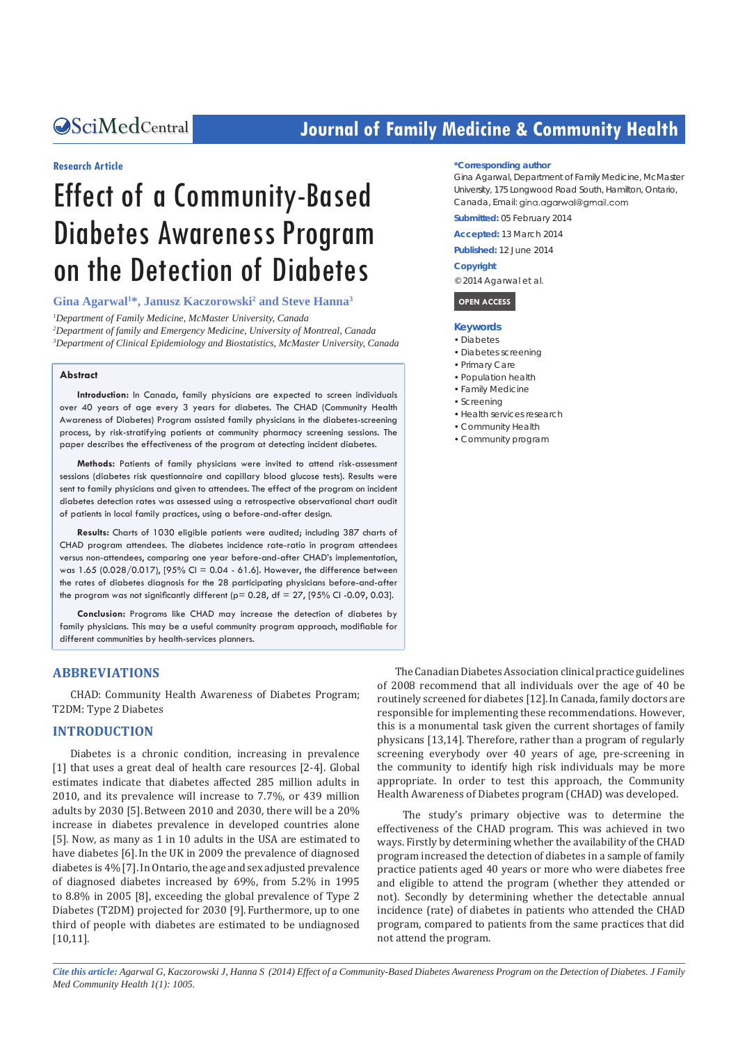# **CALCERT CONFIDENTIAL CONTROLLER COMMUNITY Health**

# **Research Article**

# Effect of a Community-Based Diabetes Awareness Program on the Detection of Diabetes

Gina Agarwal<sup>1\*</sup>, Janusz Kaczorowski<sup>2</sup> and Steve Hanna<sup>3</sup>

*1 Department of Family Medicine, McMaster University, Canada 2 Department of family and Emergency Medicine, University of Montreal, Canada 3 Department of Clinical Epidemiology and Biostatistics, McMaster University, Canada*

#### **Abstract**

**Introduction:** In Canada, family physicians are expected to screen individuals over 40 years of age every 3 years for diabetes. The CHAD (Community Health Awareness of Diabetes) Program assisted family physicians in the diabetes-screening process, by risk-stratifying patients at community pharmacy screening sessions. The paper describes the effectiveness of the program at detecting incident diabetes.

**Methods:** Patients of family physicians were invited to attend risk-assessment sessions (diabetes risk questionnaire and capillary blood glucose tests). Results were sent to family physicians and given to attendees. The effect of the program on incident diabetes detection rates was assessed using a retrospective observational chart audit of patients in local family practices, using a before-and-after design.

**Results:** Charts of 1030 eligible patients were audited; including 387 charts of CHAD program attendees. The diabetes incidence rate-ratio in program attendees versus non-attendees, comparing one year before-and-after CHAD's implementation, was 1.65 (0.028/0.017), [95% CI = 0.04 - 61.6]. However, the difference between the rates of diabetes diagnosis for the 28 participating physicians before-and-after the program was not significantly different ( $p= 0.28$ ,  $df = 27$ , [95% CI-0.09, 0.03].

**Conclusion:** Programs like CHAD may increase the detection of diabetes by family physicians. This may be a useful community program approach, modifiable for different communities by health-services planners.

# **ABBREVIATIONS**

CHAD: Community Health Awareness of Diabetes Program; T2DM: Type 2 Diabetes

# **INTRODUCTION**

Diabetes is a chronic condition, increasing in prevalence [1] that uses a great deal of health care resources [2-4]. Global estimates indicate that diabetes affected 285 million adults in 2010, and its prevalence will increase to 7.7%, or 439 million adults by 2030 [5].Between 2010 and 2030, there will be a 20% increase in diabetes prevalence in developed countries alone [5]. Now, as many as 1 in 10 adults in the USA are estimated to have diabetes [6].In the UK in 2009 the prevalence of diagnosed diabetes is 4% [7]. In Ontario, the age and sex adjusted prevalence of diagnosed diabetes increased by 69%, from 5.2% in 1995 to 8.8% in 2005 [8], exceeding the global prevalence of Type 2 Diabetes (T2DM) projected for 2030 [9]. Furthermore, up to one third of people with diabetes are estimated to be undiagnosed [10,11].

#### **\*Corresponding author**

Gina Agarwal, Department of Family Medicine, McMaster University, 175 Longwood Road South, Hamilton, Ontario, Canada, Email: gina.agarwal@gmail.com

**Submitted:** 05 February 2014

**Accepted:** 13 March 2014

**Published:** 12 June 2014

#### **Copyright**

© 2014 Agarwal et al.

#### **OPEN ACCESS**

#### **Keywords**

- • Diabetes
- • Diabetes screening
- • Primary Care
- • Population health
- Family Medicine
- Screening
- • Health services research
- • Community Health
- • Community program

The Canadian Diabetes Association clinical practice guidelines of 2008 recommend that all individuals over the age of 40 be routinely screened for diabetes [12].In Canada, family doctors are responsible for implementing these recommendations. However, this is a monumental task given the current shortages of family physicans [13,14]. Therefore, rather than a program of regularly screening everybody over 40 years of age, pre-screening in the community to identify high risk individuals may be more appropriate. In order to test this approach, the Community Health Awareness of Diabetes program (CHAD) was developed.

 The study's primary objective was to determine the effectiveness of the CHAD program. This was achieved in two ways. Firstly by determining whether the availability of the CHAD program increased the detection of diabetes in a sample of family practice patients aged 40 years or more who were diabetes free and eligible to attend the program (whether they attended or not). Secondly by determining whether the detectable annual incidence (rate) of diabetes in patients who attended the CHAD program, compared to patients from the same practices that did not attend the program.

*Cite this article: Agarwal G, Kaczorowski J, Hanna S (2014) Effect of a Community-Based Diabetes Awareness Program on the Detection of Diabetes. J Family Med Community Health 1(1): 1005.*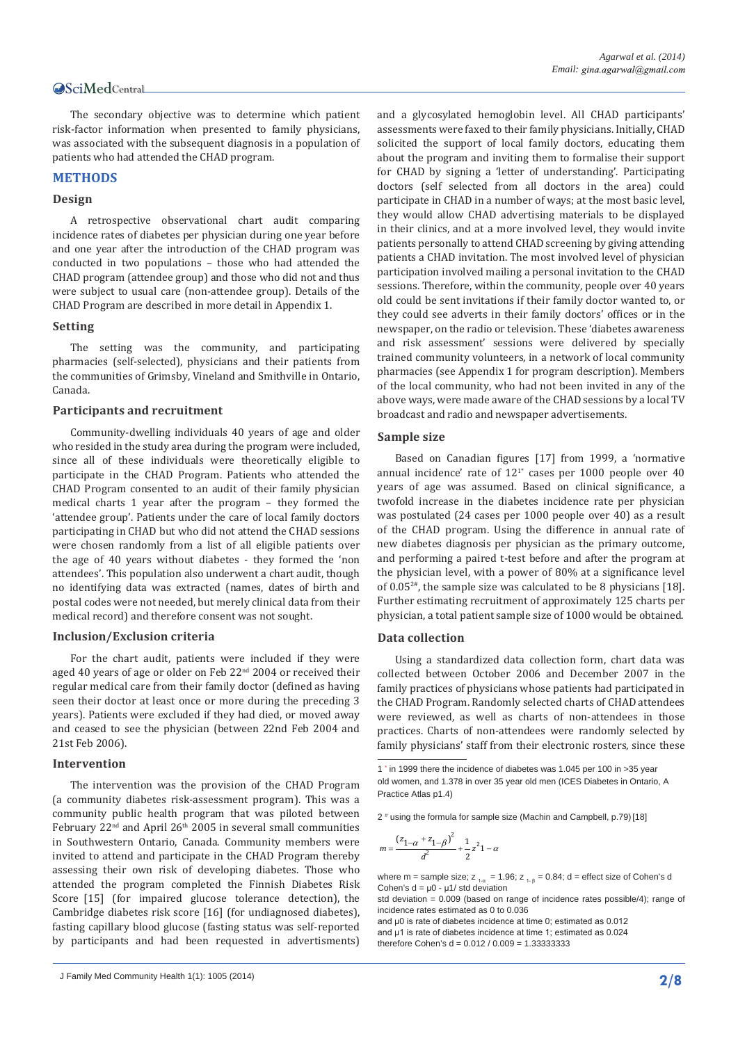The secondary objective was to determine which patient risk-factor information when presented to family physicians, was associated with the subsequent diagnosis in a population of patients who had attended the CHAD program.

# **METHODS**

# **Design**

A retrospective observational chart audit comparing incidence rates of diabetes per physician during one year before and one year after the introduction of the CHAD program was conducted in two populations – those who had attended the CHAD program (attendee group) and those who did not and thus were subject to usual care (non-attendee group). Details of the CHAD Program are described in more detail in Appendix 1.

#### **Setting**

The setting was the community, and participating pharmacies (self-selected), physicians and their patients from the communities of Grimsby, Vineland and Smithville in Ontario, Canada.

# **Participants and recruitment**

Community-dwelling individuals 40 years of age and older who resided in the study area during the program were included, since all of these individuals were theoretically eligible to participate in the CHAD Program. Patients who attended the CHAD Program consented to an audit of their family physician medical charts 1 year after the program – they formed the 'attendee group'. Patients under the care of local family doctors participating in CHAD but who did not attend the CHAD sessions were chosen randomly from a list of all eligible patients over the age of 40 years without diabetes - they formed the 'non attendees'. This population also underwent a chart audit, though no identifying data was extracted (names, dates of birth and postal codes were not needed, but merely clinical data from their medical record) and therefore consent was not sought.

#### **Inclusion/Exclusion criteria**

For the chart audit, patients were included if they were aged 40 years of age or older on Feb 22<sup>nd</sup> 2004 or received their regular medical care from their family doctor (defined as having seen their doctor at least once or more during the preceding 3 years). Patients were excluded if they had died, or moved away and ceased to see the physician (between 22nd Feb 2004 and 21st Feb 2006).

# **Intervention**

The intervention was the provision of the CHAD Program (a community diabetes risk-assessment program). This was a community public health program that was piloted between February  $22<sup>nd</sup>$  and April  $26<sup>th</sup>$  2005 in several small communities in Southwestern Ontario, Canada. Community members were invited to attend and participate in the CHAD Program thereby assessing their own risk of developing diabetes. Those who attended the program completed the Finnish Diabetes Risk Score [15] (for impaired glucose tolerance detection), the Cambridge diabetes risk score [16] (for undiagnosed diabetes), fasting capillary blood glucose (fasting status was self-reported by participants and had been requested in advertisments) and a glycosylated hemoglobin level. All CHAD participants' assessments were faxed to their family physicians. Initially, CHAD solicited the support of local family doctors, educating them about the program and inviting them to formalise their support for CHAD by signing a 'letter of understanding'. Participating doctors (self selected from all doctors in the area) could participate in CHAD in a number of ways; at the most basic level, they would allow CHAD advertising materials to be displayed in their clinics, and at a more involved level, they would invite patients personally to attend CHAD screening by giving attending patients a CHAD invitation. The most involved level of physician participation involved mailing a personal invitation to the CHAD sessions. Therefore, within the community, people over 40 years old could be sent invitations if their family doctor wanted to, or they could see adverts in their family doctors' offices or in the newspaper, on the radio or television. These 'diabetes awareness and risk assessment' sessions were delivered by specially trained community volunteers, in a network of local community pharmacies (see Appendix 1 for program description). Members of the local community, who had not been invited in any of the above ways, were made aware of the CHAD sessions by a local TV broadcast and radio and newspaper advertisements.

#### **Sample size**

Based on Canadian figures [17] from 1999, a 'normative annual incidence' rate of  $12^{1*}$  cases per 1000 people over 40 years of age was assumed. Based on clinical significance, a twofold increase in the diabetes incidence rate per physician was postulated (24 cases per 1000 people over 40) as a result of the CHAD program. Using the difference in annual rate of new diabetes diagnosis per physician as the primary outcome, and performing a paired t-test before and after the program at the physician level, with a power of 80% at a significance level of 0.052#, the sample size was calculated to be 8 physicians [18]. Further estimating recruitment of approximately 125 charts per physician, a total patient sample size of 1000 would be obtained.

#### **Data collection**

Using a standardized data collection form, chart data was collected between October 2006 and December 2007 in the family practices of physicians whose patients had participated in the CHAD Program. Randomly selected charts of CHAD attendees were reviewed, as well as charts of non-attendees in those practices. Charts of non-attendees were randomly selected by family physicians' staff from their electronic rosters, since these

2 # using the formula for sample size (Machin and Campbell, p.79)[18]

$$
m = \frac{(z_{1-\alpha} + z_{1-\beta})^2}{d^2} + \frac{1}{2}z^2 1 - \alpha
$$

where m = sample size;  $z_{1-a} = 1.96$ ;  $z_{1-a} = 0.84$ ; d = effect size of Cohen's d Cohen's  $d = u0 - u1$  std deviation

std deviation = 0.009 (based on range of incidence rates possible/4); range of incidence rates estimated as 0 to 0.036

and μ0 is rate of diabetes incidence at time 0; estimated as 0.012 and u1 is rate of diabetes incidence at time 1; estimated as 0.024 therefore Cohen's  $d = 0.012 / 0.009 = 1.333333333$ 

<sup>1</sup> \* in 1999 there the incidence of diabetes was 1.045 per 100 in >35 year old women, and 1.378 in over 35 year old men (ICES Diabetes in Ontario, A Practice Atlas p1.4)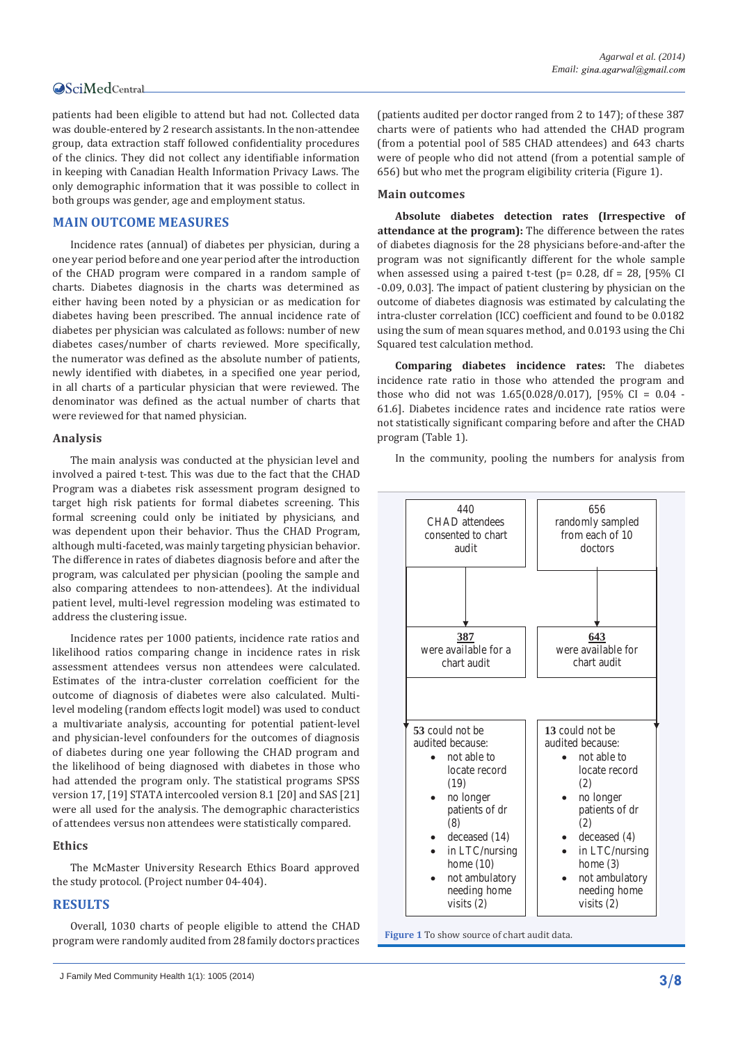patients had been eligible to attend but had not. Collected data was double-entered by 2 research assistants. In the non-attendee group, data extraction staff followed confidentiality procedures of the clinics. They did not collect any identifiable information in keeping with Canadian Health Information Privacy Laws. The only demographic information that it was possible to collect in both groups was gender, age and employment status.

# **MAIN OUTCOME MEASURES**

Incidence rates (annual) of diabetes per physician, during a one year period before and one year period after the introduction of the CHAD program were compared in a random sample of charts. Diabetes diagnosis in the charts was determined as either having been noted by a physician or as medication for diabetes having been prescribed. The annual incidence rate of diabetes per physician was calculated as follows: number of new diabetes cases/number of charts reviewed. More specifically, the numerator was defined as the absolute number of patients, newly identified with diabetes, in a specified one year period, in all charts of a particular physician that were reviewed. The denominator was defined as the actual number of charts that were reviewed for that named physician.

# **Analysis**

The main analysis was conducted at the physician level and involved a paired t-test. This was due to the fact that the CHAD Program was a diabetes risk assessment program designed to target high risk patients for formal diabetes screening. This formal screening could only be initiated by physicians, and was dependent upon their behavior. Thus the CHAD Program, although multi-faceted, was mainly targeting physician behavior. The difference in rates of diabetes diagnosis before and after the program, was calculated per physician (pooling the sample and also comparing attendees to non-attendees). At the individual patient level, multi-level regression modeling was estimated to address the clustering issue.

Incidence rates per 1000 patients, incidence rate ratios and likelihood ratios comparing change in incidence rates in risk assessment attendees versus non attendees were calculated. Estimates of the intra-cluster correlation coefficient for the outcome of diagnosis of diabetes were also calculated. Multilevel modeling (random effects logit model) was used to conduct a multivariate analysis, accounting for potential patient-level and physician-level confounders for the outcomes of diagnosis of diabetes during one year following the CHAD program and the likelihood of being diagnosed with diabetes in those who had attended the program only. The statistical programs SPSS version 17, [19] STATA intercooled version 8.1 [20] and SAS [21] were all used for the analysis. The demographic characteristics of attendees versus non attendees were statistically compared.

#### **Ethics**

The McMaster University Research Ethics Board approved the study protocol. (Project number 04-404).

# **RESULTS**

Overall, 1030 charts of people eligible to attend the CHAD program were randomly audited from 28 family doctors practices

(patients audited per doctor ranged from 2 to 147); of these 387 charts were of patients who had attended the CHAD program (from a potential pool of 585 CHAD attendees) and 643 charts were of people who did not attend (from a potential sample of 656) but who met the program eligibility criteria (Figure 1).

#### **Main outcomes**

**Absolute diabetes detection rates (Irrespective of attendance at the program):** The difference between the rates of diabetes diagnosis for the 28 physicians before-and-after the program was not significantly different for the whole sample when assessed using a paired t-test ( $p= 0.28$ , df = 28, [95% CI -0.09, 0.03]. The impact of patient clustering by physician on the outcome of diabetes diagnosis was estimated by calculating the intra-cluster correlation (ICC) coefficient and found to be 0.0182 using the sum of mean squares method, and 0.0193 using the Chi Squared test calculation method.

**Comparing diabetes incidence rates:** The diabetes incidence rate ratio in those who attended the program and those who did not was 1.65(0.028/0.017), [95% CI = 0.04 - 61.6]. Diabetes incidence rates and incidence rate ratios were not statistically significant comparing before and after the CHAD program (Table 1).

In the community, pooling the numbers for analysis from



**Figure 1** To show source of chart audit data.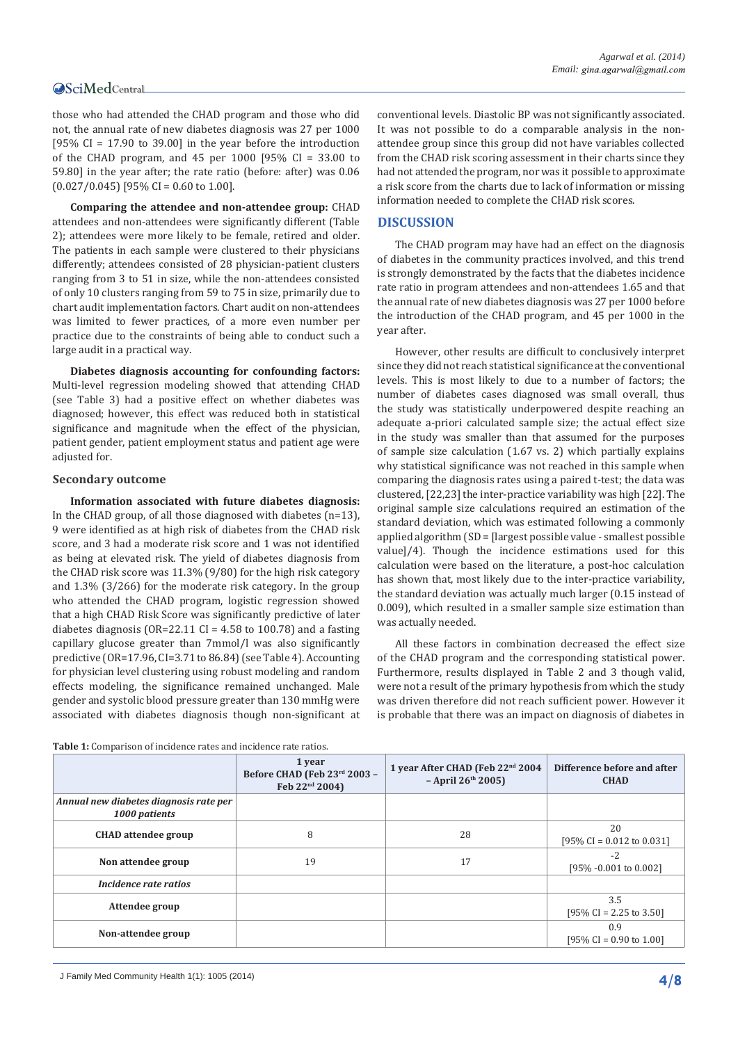those who had attended the CHAD program and those who did not, the annual rate of new diabetes diagnosis was 27 per 1000 [95% CI = 17.90 to 39.00] in the year before the introduction of the CHAD program, and 45 per 1000 [95% CI = 33.00 to 59.80] in the year after; the rate ratio (before: after) was 0.06  $(0.027/0.045)$  [95% CI = 0.60 to 1.00].

**Comparing the attendee and non-attendee group:** CHAD attendees and non-attendees were significantly different (Table 2); attendees were more likely to be female, retired and older. The patients in each sample were clustered to their physicians differently; attendees consisted of 28 physician-patient clusters ranging from 3 to 51 in size, while the non-attendees consisted of only 10 clusters ranging from 59 to 75 in size, primarily due to chart audit implementation factors. Chart audit on non-attendees was limited to fewer practices, of a more even number per practice due to the constraints of being able to conduct such a large audit in a practical way.

**Diabetes diagnosis accounting for confounding factors:**  Multi-level regression modeling showed that attending CHAD (see Table 3) had a positive effect on whether diabetes was diagnosed; however, this effect was reduced both in statistical significance and magnitude when the effect of the physician, patient gender, patient employment status and patient age were adjusted for.

# **Secondary outcome**

**Information associated with future diabetes diagnosis:**  In the CHAD group, of all those diagnosed with diabetes (n=13), 9 were identified as at high risk of diabetes from the CHAD risk score, and 3 had a moderate risk score and 1 was not identified as being at elevated risk. The yield of diabetes diagnosis from the CHAD risk score was 11.3% (9/80) for the high risk category and 1.3% (3/266) for the moderate risk category. In the group who attended the CHAD program, logistic regression showed that a high CHAD Risk Score was significantly predictive of later diabetes diagnosis ( $OR=22.11$  CI = 4.58 to 100.78) and a fasting capillary glucose greater than 7mmol/l was also significantly predictive (OR=17.96, CI=3.71 to 86.84) (see Table 4). Accounting for physician level clustering using robust modeling and random effects modeling, the significance remained unchanged. Male gender and systolic blood pressure greater than 130 mmHg were associated with diabetes diagnosis though non-significant at conventional levels. Diastolic BP was not significantly associated. It was not possible to do a comparable analysis in the nonattendee group since this group did not have variables collected from the CHAD risk scoring assessment in their charts since they had not attended the program, nor was it possible to approximate a risk score from the charts due to lack of information or missing information needed to complete the CHAD risk scores.

# **DISCUSSION**

The CHAD program may have had an effect on the diagnosis of diabetes in the community practices involved, and this trend is strongly demonstrated by the facts that the diabetes incidence rate ratio in program attendees and non-attendees 1.65 and that the annual rate of new diabetes diagnosis was 27 per 1000 before the introduction of the CHAD program, and 45 per 1000 in the year after.

However, other results are difficult to conclusively interpret since they did not reach statistical significance at the conventional levels. This is most likely to due to a number of factors; the number of diabetes cases diagnosed was small overall, thus the study was statistically underpowered despite reaching an adequate a-priori calculated sample size; the actual effect size in the study was smaller than that assumed for the purposes of sample size calculation (1.67 vs. 2) which partially explains why statistical significance was not reached in this sample when comparing the diagnosis rates using a paired t-test; the data was clustered, [22,23] the inter-practice variability was high [22]. The original sample size calculations required an estimation of the standard deviation, which was estimated following a commonly applied algorithm (SD = [largest possible value - smallest possible value]/4). Though the incidence estimations used for this calculation were based on the literature, a post-hoc calculation has shown that, most likely due to the inter-practice variability, the standard deviation was actually much larger (0.15 instead of 0.009), which resulted in a smaller sample size estimation than was actually needed.

All these factors in combination decreased the effect size of the CHAD program and the corresponding statistical power. Furthermore, results displayed in Table 2 and 3 though valid, were not a result of the primary hypothesis from which the study was driven therefore did not reach sufficient power. However it is probable that there was an impact on diagnosis of diabetes in

|                                                         | 1 year<br>Before CHAD (Feb 23rd 2003 -<br>Feb 22 <sup>nd</sup> 2004) | 1 year After CHAD (Feb 22 <sup>nd</sup> 2004<br>$-$ April 26 <sup>th</sup> 2005) | Difference before and after<br><b>CHAD</b>         |
|---------------------------------------------------------|----------------------------------------------------------------------|----------------------------------------------------------------------------------|----------------------------------------------------|
| Annual new diabetes diagnosis rate per<br>1000 patients |                                                                      |                                                                                  |                                                    |
| <b>CHAD</b> attendee group                              | 8                                                                    | 28                                                                               | 20<br>[95\% CI = $0.012$ to $0.031$ ]              |
| Non attendee group                                      | 19                                                                   | 17                                                                               | $-2$<br>[95% -0.001 to 0.002]                      |
| Incidence rate ratios                                   |                                                                      |                                                                                  |                                                    |
| Attendee group                                          |                                                                      |                                                                                  | 3.5<br>$[95\% \text{ CI} = 2.25 \text{ to } 3.50]$ |
| Non-attendee group                                      |                                                                      |                                                                                  | 0.9<br>[95\% CI = 0.90 to 1.00]                    |
|                                                         |                                                                      |                                                                                  |                                                    |

**Table 1:** Comparison of incidence rates and incidence rate ratios.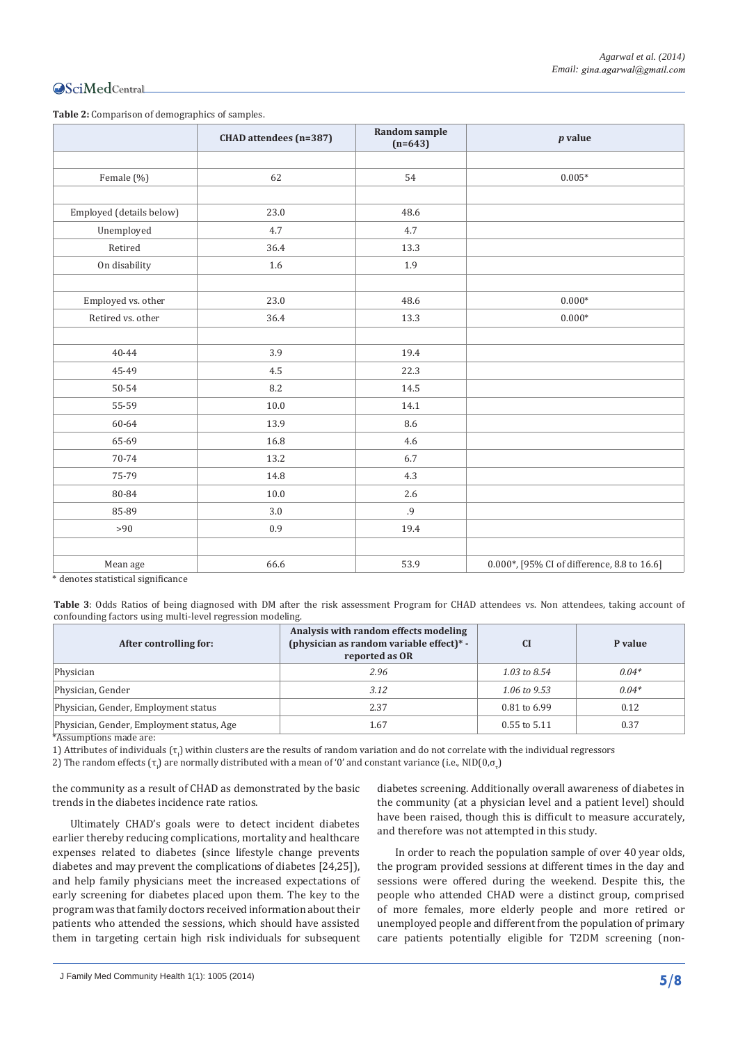**Table 2:** Comparison of demographics of samples.

|                                                          | CHAD attendees (n=387) | Random sample<br>$(n=643)$ | $p$ value                                   |
|----------------------------------------------------------|------------------------|----------------------------|---------------------------------------------|
|                                                          |                        |                            |                                             |
| Female (%)                                               | 62                     | 54                         | $0.005*$                                    |
|                                                          |                        |                            |                                             |
| Employed (details below)                                 | 23.0                   | 48.6                       |                                             |
| Unemployed                                               | 4.7                    | 4.7                        |                                             |
| Retired                                                  | 36.4                   | 13.3                       |                                             |
| On disability                                            | 1.6                    | 1.9                        |                                             |
|                                                          |                        |                            |                                             |
| Employed vs. other                                       | 23.0                   | 48.6                       | $0.000*$                                    |
| Retired vs. other                                        | 36.4                   | 13.3                       | $0.000*$                                    |
|                                                          |                        |                            |                                             |
| $40 - 44$                                                | 3.9                    | 19.4                       |                                             |
| 45-49                                                    | 4.5                    | 22.3                       |                                             |
| 50-54                                                    | 8.2                    | 14.5                       |                                             |
| 55-59                                                    | 10.0                   | 14.1                       |                                             |
| 60-64                                                    | 13.9                   | 8.6                        |                                             |
| 65-69                                                    | 16.8                   | 4.6                        |                                             |
| 70-74                                                    | 13.2                   | 6.7                        |                                             |
| 75-79                                                    | 14.8                   | 4.3                        |                                             |
| 80-84                                                    | 10.0                   | 2.6                        |                                             |
| 85-89                                                    | 3.0                    | .9                         |                                             |
| >90                                                      | 0.9                    | 19.4                       |                                             |
|                                                          |                        |                            |                                             |
| Mean age<br>With a contract construction of the contract | 66.6                   | 53.9                       | 0.000*, [95% CI of difference, 8.8 to 16.6] |

denotes statistical significance

Table 3: Odds Ratios of being diagnosed with DM after the risk assessment Program for CHAD attendees vs. Non attendees, taking account of confounding factors using multi-level regression modeling.

| After controlling for:                    | Analysis with random effects modeling<br>(physician as random variable effect)* -<br>reported as OR | <b>CI</b>               | P value |
|-------------------------------------------|-----------------------------------------------------------------------------------------------------|-------------------------|---------|
| Physician                                 | 2.96                                                                                                | 1.03 to $8.54$          | $0.04*$ |
| Physician, Gender                         | 3.12                                                                                                | $1.06 \text{ to } 9.53$ | $0.04*$ |
| Physician, Gender, Employment status      | 2.37                                                                                                | $0.81$ to 6.99          | 0.12    |
| Physician, Gender, Employment status, Age | 1.67                                                                                                | $0.55$ to $5.11$        | 0.37    |

\*Assumptions made are:

1) Attributes of individuals  $(\tau_j)$  within clusters are the results of random variation and do not correlate with the individual regressors

2) The random effects (τ<sub>ι</sub>) are normally distributed with a mean of '0' and constant variance (i.e., NID(0,σ<sub>τ</sub>)

the community as a result of CHAD as demonstrated by the basic trends in the diabetes incidence rate ratios.

Ultimately CHAD's goals were to detect incident diabetes earlier thereby reducing complications, mortality and healthcare expenses related to diabetes (since lifestyle change prevents diabetes and may prevent the complications of diabetes [24,25]), and help family physicians meet the increased expectations of early screening for diabetes placed upon them. The key to the program was that family doctors received information about their patients who attended the sessions, which should have assisted them in targeting certain high risk individuals for subsequent

diabetes screening. Additionally overall awareness of diabetes in the community (at a physician level and a patient level) should have been raised, though this is difficult to measure accurately, and therefore was not attempted in this study.

In order to reach the population sample of over 40 year olds, the program provided sessions at different times in the day and sessions were offered during the weekend. Despite this, the people who attended CHAD were a distinct group, comprised of more females, more elderly people and more retired or unemployed people and different from the population of primary care patients potentially eligible for T2DM screening (non-

J Family Med Community Health 1(1): 1005 (2014) **5/8**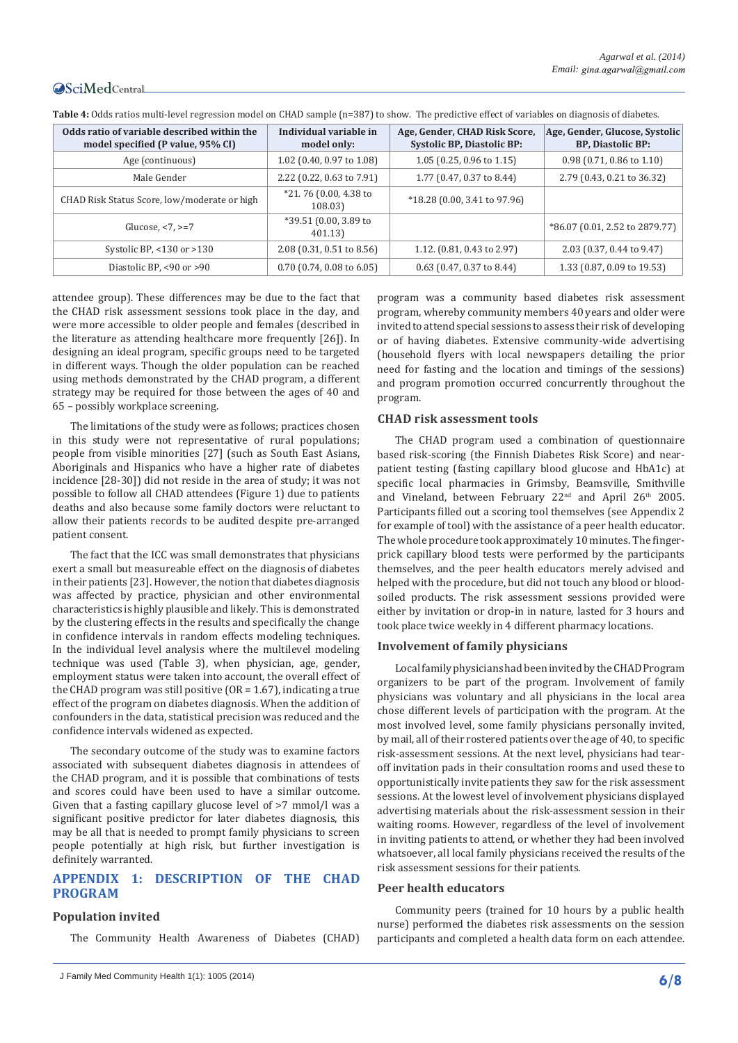| Odds ratio of variable described within the<br>model specified (P value, 95% CI) | Individual variable in<br>model only: | Age, Gender, CHAD Risk Score,<br><b>Systolic BP, Diastolic BP:</b> | Age, Gender, Glucose, Systolic<br><b>BP, Diastolic BP:</b> |
|----------------------------------------------------------------------------------|---------------------------------------|--------------------------------------------------------------------|------------------------------------------------------------|
| Age (continuous)                                                                 | 1.02 (0.40, 0.97 to 1.08)             | $1.05$ (0.25, 0.96 to 1.15)                                        | $0.98$ (0.71, 0.86 to 1.10)                                |
| Male Gender                                                                      | 2.22 (0.22, 0.63 to 7.91)             | 1.77 (0.47, 0.37 to 8.44)                                          | 2.79 (0.43, 0.21 to 36.32)                                 |
| CHAD Risk Status Score, low/moderate or high                                     | *21.76 (0.00, 4.38 to<br>108.03)      | *18.28 (0.00, 3.41 to 97.96)                                       |                                                            |
| Glucose, $< 7$ , $>= 7$                                                          | *39.51 (0.00, 3.89 to<br>401.13)      |                                                                    | *86.07 (0.01, 2.52 to 2879.77)                             |
| Systolic BP, $<$ 130 or $>$ 130                                                  | 2.08 (0.31, 0.51 to 8.56)             | 1.12. (0.81, 0.43 to 2.97)                                         | 2.03 (0.37, 0.44 to 9.47)                                  |
| Diastolic BP, <90 or >90                                                         | $0.70$ (0.74, 0.08 to 6.05)           | $0.63$ (0.47, 0.37 to 8.44)                                        | 1.33 (0.87, 0.09 to 19.53)                                 |

**Table 4:** Odds ratios multi-level regression model on CHAD sample (n=387) to show. The predictive effect of variables on diagnosis of diabetes.

attendee group). These differences may be due to the fact that the CHAD risk assessment sessions took place in the day, and were more accessible to older people and females (described in the literature as attending healthcare more frequently [26]). In designing an ideal program, specific groups need to be targeted in different ways. Though the older population can be reached using methods demonstrated by the CHAD program, a different strategy may be required for those between the ages of 40 and 65 – possibly workplace screening.

The limitations of the study were as follows; practices chosen in this study were not representative of rural populations; people from visible minorities [27] (such as South East Asians, Aboriginals and Hispanics who have a higher rate of diabetes incidence [28-30]) did not reside in the area of study; it was not possible to follow all CHAD attendees (Figure 1) due to patients deaths and also because some family doctors were reluctant to allow their patients records to be audited despite pre-arranged patient consent.

The fact that the ICC was small demonstrates that physicians exert a small but measureable effect on the diagnosis of diabetes in their patients [23]. However, the notion that diabetes diagnosis was affected by practice, physician and other environmental characteristics is highly plausible and likely. This is demonstrated by the clustering effects in the results and specifically the change in confidence intervals in random effects modeling techniques. In the individual level analysis where the multilevel modeling technique was used (Table 3), when physician, age, gender, employment status were taken into account, the overall effect of the CHAD program was still positive (OR = 1.67), indicating a true effect of the program on diabetes diagnosis. When the addition of confounders in the data, statistical precision was reduced and the confidence intervals widened as expected.

The secondary outcome of the study was to examine factors associated with subsequent diabetes diagnosis in attendees of the CHAD program, and it is possible that combinations of tests and scores could have been used to have a similar outcome. Given that a fasting capillary glucose level of >7 mmol/l was a significant positive predictor for later diabetes diagnosis, this may be all that is needed to prompt family physicians to screen people potentially at high risk, but further investigation is definitely warranted.

# **APPENDIX 1: DESCRIPTION OF THE CHAD PROGRAM**

# **Population invited**

The Community Health Awareness of Diabetes (CHAD)

program was a community based diabetes risk assessment program, whereby community members 40 years and older were invited to attend special sessions to assess their risk of developing or of having diabetes. Extensive community-wide advertising (household flyers with local newspapers detailing the prior need for fasting and the location and timings of the sessions) and program promotion occurred concurrently throughout the program.

# **CHAD risk assessment tools**

The CHAD program used a combination of questionnaire based risk-scoring (the Finnish Diabetes Risk Score) and nearpatient testing (fasting capillary blood glucose and HbA1c) at specific local pharmacies in Grimsby, Beamsville, Smithville and Vineland, between February  $22<sup>nd</sup>$  and April  $26<sup>th</sup>$  2005. Participants filled out a scoring tool themselves (see Appendix 2 for example of tool) with the assistance of a peer health educator. The whole procedure took approximately 10 minutes. The fingerprick capillary blood tests were performed by the participants themselves, and the peer health educators merely advised and helped with the procedure, but did not touch any blood or bloodsoiled products. The risk assessment sessions provided were either by invitation or drop-in in nature, lasted for 3 hours and took place twice weekly in 4 different pharmacy locations.

# **Involvement of family physicians**

Local family physicians had been invited by the CHAD Program organizers to be part of the program. Involvement of family physicians was voluntary and all physicians in the local area chose different levels of participation with the program. At the most involved level, some family physicians personally invited, by mail, all of their rostered patients over the age of 40, to specific risk-assessment sessions. At the next level, physicians had tearoff invitation pads in their consultation rooms and used these to opportunistically invite patients they saw for the risk assessment sessions. At the lowest level of involvement physicians displayed advertising materials about the risk-assessment session in their waiting rooms. However, regardless of the level of involvement in inviting patients to attend, or whether they had been involved whatsoever, all local family physicians received the results of the risk assessment sessions for their patients.

# **Peer health educators**

Community peers (trained for 10 hours by a public health nurse) performed the diabetes risk assessments on the session participants and completed a health data form on each attendee.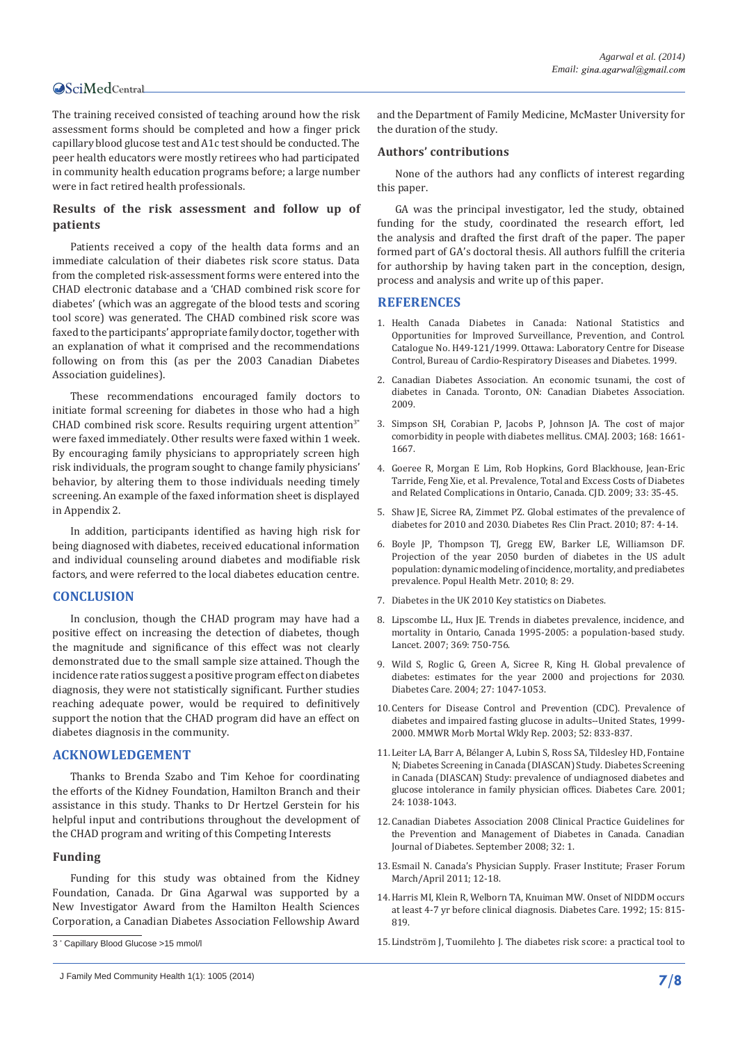The training received consisted of teaching around how the risk assessment forms should be completed and how a finger prick capillary blood glucose test and A1c test should be conducted. The peer health educators were mostly retirees who had participated in community health education programs before; a large number were in fact retired health professionals.

# **Results of the risk assessment and follow up of patients**

Patients received a copy of the health data forms and an immediate calculation of their diabetes risk score status. Data from the completed risk-assessment forms were entered into the CHAD electronic database and a 'CHAD combined risk score for diabetes' (which was an aggregate of the blood tests and scoring tool score) was generated. The CHAD combined risk score was faxed to the participants' appropriate family doctor, together with an explanation of what it comprised and the recommendations following on from this (as per the 2003 Canadian Diabetes Association guidelines).

These recommendations encouraged family doctors to initiate formal screening for diabetes in those who had a high CHAD combined risk score. Results requiring urgent attention $3*$ were faxed immediately. Other results were faxed within 1 week. By encouraging family physicians to appropriately screen high risk individuals, the program sought to change family physicians' behavior, by altering them to those individuals needing timely screening. An example of the faxed information sheet is displayed in Appendix 2.

In addition, participants identified as having high risk for being diagnosed with diabetes, received educational information and individual counseling around diabetes and modifiable risk factors, and were referred to the local diabetes education centre.

# **CONCLUSION**

In conclusion, though the CHAD program may have had a positive effect on increasing the detection of diabetes, though the magnitude and significance of this effect was not clearly demonstrated due to the small sample size attained. Though the incidence rate ratios suggest a positive program effect on diabetes diagnosis, they were not statistically significant. Further studies reaching adequate power, would be required to definitively support the notion that the CHAD program did have an effect on diabetes diagnosis in the community.

# **ACKNOWLEDGEMENT**

Thanks to Brenda Szabo and Tim Kehoe for coordinating the efforts of the Kidney Foundation, Hamilton Branch and their assistance in this study. Thanks to Dr Hertzel Gerstein for his helpful input and contributions throughout the development of the CHAD program and writing of this Competing Interests

#### **Funding**

Funding for this study was obtained from the Kidney Foundation, Canada. Dr Gina Agarwal was supported by a New Investigator Award from the Hamilton Health Sciences Corporation, a Canadian Diabetes Association Fellowship Award and the Department of Family Medicine, McMaster University for the duration of the study.

#### **Authors' contributions**

None of the authors had any conflicts of interest regarding this paper.

GA was the principal investigator, led the study, obtained funding for the study, coordinated the research effort, led the analysis and drafted the first draft of the paper. The paper formed part of GA's doctoral thesis. All authors fulfill the criteria for authorship by having taken part in the conception, design, process and analysis and write up of this paper.

# **REFERENCES**

- 1. [Health Canada Diabetes in Canada: National Statistics and](http://www.goodreads.com/book/show/15402692-diabetes-in-canada)  [Opportunities for Improved Surveillance, Prevention, and Control.](http://www.goodreads.com/book/show/15402692-diabetes-in-canada)  [Catalogue No. H49-121/1999. Ottawa: Laboratory Centre for Disease](http://www.goodreads.com/book/show/15402692-diabetes-in-canada)  [Control, Bureau of Cardio-Respiratory Diseases and Diabetes. 1999.](http://www.goodreads.com/book/show/15402692-diabetes-in-canada)
- 2. [Canadian Diabetes Association. An economic tsunami, the cost of](http://www.diabetes.ca/publications-newsletters/advocacy-reports/economic-tsunami-the-cost-of-diabetes-in-canada)  [diabetes in Canada. Toronto, ON: Canadian Diabetes Association.](http://www.diabetes.ca/publications-newsletters/advocacy-reports/economic-tsunami-the-cost-of-diabetes-in-canada)  [2009.](http://www.diabetes.ca/publications-newsletters/advocacy-reports/economic-tsunami-the-cost-of-diabetes-in-canada)
- 3. [Simpson SH, Corabian P, Jacobs P, Johnson JA. The cost of major](http://www.ncbi.nlm.nih.gov/pubmed/12821619)  [comorbidity in people with diabetes mellitus. CMAJ. 2003; 168: 1661-](http://www.ncbi.nlm.nih.gov/pubmed/12821619) [1667.](http://www.ncbi.nlm.nih.gov/pubmed/12821619)
- 4. [Goeree R, Morgan E Lim, Rob Hopkins, Gord Blackhouse, Jean-Eric](http://www.sciencedirect.com/science/article/pii/S1499267109310072)  [Tarride, Feng Xie, et al. Prevalence, Total and Excess Costs of Diabetes](http://www.sciencedirect.com/science/article/pii/S1499267109310072)  [and Related Complications in Ontario, Canada. CJD. 2009; 33: 35-45.](http://www.sciencedirect.com/science/article/pii/S1499267109310072)
- 5. [Shaw JE, Sicree RA, Zimmet PZ. Global estimates of the prevalence of](http://www.ncbi.nlm.nih.gov/pubmed/19896746)  [diabetes for 2010 and 2030. Diabetes Res Clin Pract. 2010; 87: 4-14.](http://www.ncbi.nlm.nih.gov/pubmed/19896746)
- 6. [Boyle JP, Thompson TJ, Gregg EW, Barker LE, Williamson DF.](http://www.ncbi.nlm.nih.gov/pubmed/20969750)  [Projection of the year 2050 burden of diabetes in the US adult](http://www.ncbi.nlm.nih.gov/pubmed/20969750)  [population: dynamic modeling of incidence, mortality, and prediabetes](http://www.ncbi.nlm.nih.gov/pubmed/20969750)  [prevalence. Popul Health Metr. 2010; 8: 29.](http://www.ncbi.nlm.nih.gov/pubmed/20969750)
- 7. [Diabetes in the UK 2010 Key statistics on Diabetes](http://www.diabetes.org.uk/documents/reports/diabetes_in_the_uk_2010.pdf).
- 8. [Lipscombe LL, Hux JE. Trends in diabetes prevalence, incidence, and](http://www.ncbi.nlm.nih.gov/pubmed/17336651)  [mortality in Ontario, Canada 1995-2005: a population-based study.](http://www.ncbi.nlm.nih.gov/pubmed/17336651)  [Lancet. 2007; 369: 750-756.](http://www.ncbi.nlm.nih.gov/pubmed/17336651)
- 9. [Wild S, Roglic G, Green A, Sicree R, King H. Global prevalence of](http://www.ncbi.nlm.nih.gov/pubmed/15111519)  [diabetes: estimates for the year 2000 and projections for 2030.](http://www.ncbi.nlm.nih.gov/pubmed/15111519)  [Diabetes Care. 2004; 27: 1047-1053.](http://www.ncbi.nlm.nih.gov/pubmed/15111519)
- 10.[Centers for Disease Control and Prevention \(CDC\). Prevalence of](http://www.ncbi.nlm.nih.gov/pubmed/12966357)  [diabetes and impaired fasting glucose in adults--United States, 1999-](http://www.ncbi.nlm.nih.gov/pubmed/12966357) [2000. MMWR Morb Mortal Wkly Rep. 2003; 52: 833-837.](http://www.ncbi.nlm.nih.gov/pubmed/12966357)
- 11.[Leiter LA, Barr A, Bélanger A, Lubin S, Ross SA, Tildesley HD, Fontaine](http://www.ncbi.nlm.nih.gov/pubmed/11375367)  [N; Diabetes Screening in Canada \(DIASCAN\) Study. Diabetes Screening](http://www.ncbi.nlm.nih.gov/pubmed/11375367)  [in Canada \(DIASCAN\) Study: prevalence of undiagnosed diabetes and](http://www.ncbi.nlm.nih.gov/pubmed/11375367)  [glucose intolerance in family physician offices. Diabetes Care. 2001;](http://www.ncbi.nlm.nih.gov/pubmed/11375367)  [24: 1038-1043.](http://www.ncbi.nlm.nih.gov/pubmed/11375367)
- 12.[Canadian Diabetes Association 2008 Clinical Practice Guidelines for](http://archive.diabetes.ca/files/cpg2008/cpg-2008.pdf)  [the Prevention and Management of Diabetes in Canada. Canadian](http://archive.diabetes.ca/files/cpg2008/cpg-2008.pdf)  [Journal of Diabetes. September 2008; 32: 1.](http://archive.diabetes.ca/files/cpg2008/cpg-2008.pdf)
- 13.[Esmail N. Canada's Physician Supply. Fraser Institute; Fraser Forum](http://www.fraserinstitute.org/uploadedFiles/fraser-ca/Content/research-news/research/articles/canadas-physician-supply.pdf)  [March/April 2011; 12-18.](http://www.fraserinstitute.org/uploadedFiles/fraser-ca/Content/research-news/research/articles/canadas-physician-supply.pdf)
- 14.[Harris MI, Klein R, Welborn TA, Knuiman MW. Onset of NIDDM occurs](http://www.ncbi.nlm.nih.gov/pubmed/1516497)  [at least 4-7 yr before clinical diagnosis. Diabetes Care. 1992; 15: 815-](http://www.ncbi.nlm.nih.gov/pubmed/1516497) [819.](http://www.ncbi.nlm.nih.gov/pubmed/1516497)
- 15.[Lindström J, Tuomilehto J. The diabetes risk score: a practical tool to](http://www.ncbi.nlm.nih.gov/pubmed/12610029)

<sup>3</sup> \* Capillary Blood Glucose >15 mmol/l

J Family Med Community Health 1(1): 1005 (2014) **7/8**